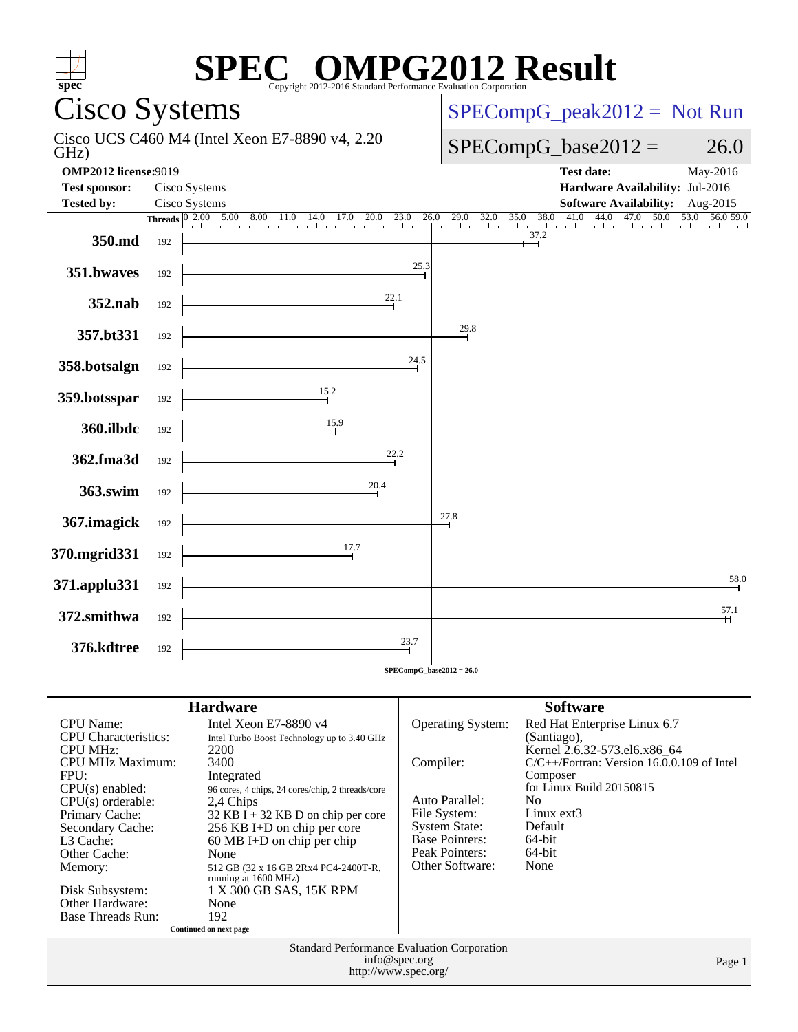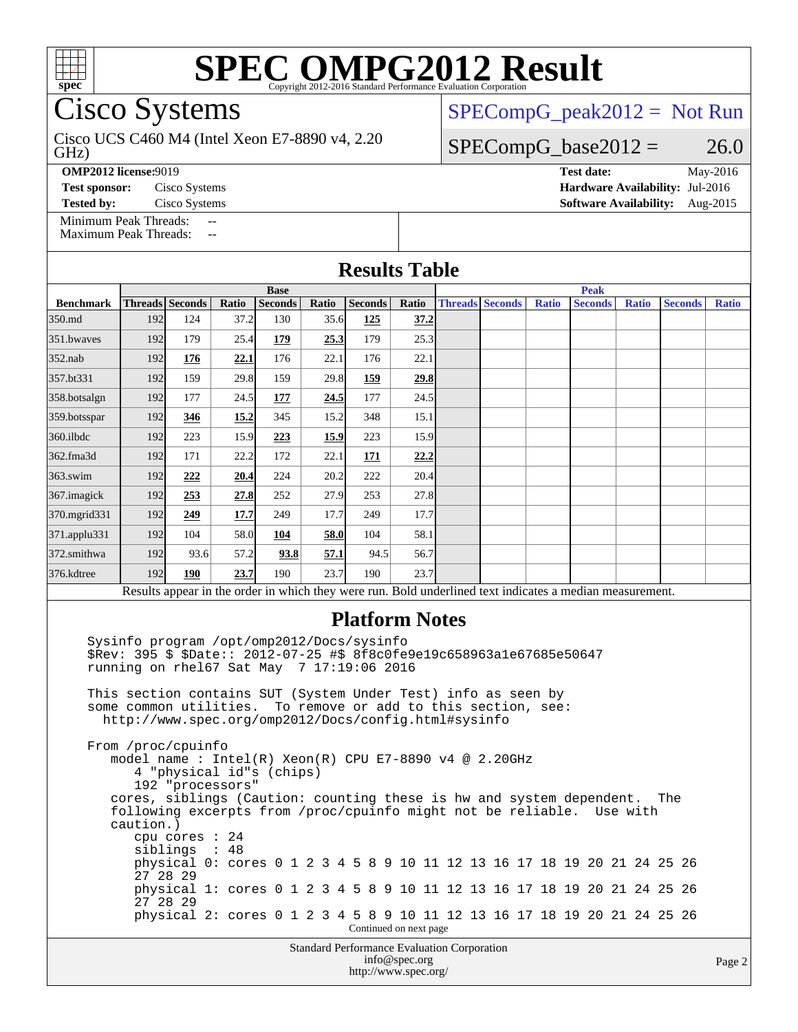

Cisco Systems

GHz) Cisco UCS C460 M4 (Intel Xeon E7-8890 v4, 2.20  $SPECompG_peak2012 = Not Run$  $SPECompG_peak2012 = Not Run$ 

#### $SPECompG_base2012 = 26.0$  $SPECompG_base2012 = 26.0$

**[OMP2012 license:](http://www.spec.org/auto/omp2012/Docs/result-fields.html#OMP2012license)**9019 **[Test date:](http://www.spec.org/auto/omp2012/Docs/result-fields.html#Testdate)** May-2016

[Minimum Peak Threads:](http://www.spec.org/auto/omp2012/Docs/result-fields.html#MinimumPeakThreads)

[Maximum Peak Threads:](http://www.spec.org/auto/omp2012/Docs/result-fields.html#MaximumPeakThreads)

**[Test sponsor:](http://www.spec.org/auto/omp2012/Docs/result-fields.html#Testsponsor)** Cisco Systems **[Hardware Availability:](http://www.spec.org/auto/omp2012/Docs/result-fields.html#HardwareAvailability)** Jul-2016 **[Tested by:](http://www.spec.org/auto/omp2012/Docs/result-fields.html#Testedby)** Cisco Systems **[Software Availability:](http://www.spec.org/auto/omp2012/Docs/result-fields.html#SoftwareAvailability)** Aug-2015

| <b>Results Table</b>                                                                                     |             |                        |       |                |       |                |       |             |                        |              |                |              |                |              |
|----------------------------------------------------------------------------------------------------------|-------------|------------------------|-------|----------------|-------|----------------|-------|-------------|------------------------|--------------|----------------|--------------|----------------|--------------|
|                                                                                                          | <b>Base</b> |                        |       |                |       |                |       | <b>Peak</b> |                        |              |                |              |                |              |
| <b>Benchmark</b>                                                                                         |             | <b>Threads Seconds</b> | Ratio | <b>Seconds</b> | Ratio | <b>Seconds</b> | Ratio |             | <b>Threads Seconds</b> | <b>Ratio</b> | <b>Seconds</b> | <b>Ratio</b> | <b>Seconds</b> | <b>Ratio</b> |
| 350.md                                                                                                   | 192         | 124                    | 37.2  | 130            | 35.6  | 125            | 37.2  |             |                        |              |                |              |                |              |
| 351.bwaves                                                                                               | 192         | 179                    | 25.4  | 179            | 25.3  | 179            | 25.3  |             |                        |              |                |              |                |              |
| $352$ .nab                                                                                               | 192         | 176                    | 22.1  | 176            | 22.1  | 176            | 22.1  |             |                        |              |                |              |                |              |
| 357.bt331                                                                                                | 192         | 159                    | 29.8  | 159            | 29.8  | 159            | 29.8  |             |                        |              |                |              |                |              |
| 358.botsalgn                                                                                             | 192         | 177                    | 24.5  | 177            | 24.5  | 177            | 24.5  |             |                        |              |                |              |                |              |
| $359.$ botsspar                                                                                          | 192         | 346                    | 15.2  | 345            | 15.2  | 348            | 15.1  |             |                        |              |                |              |                |              |
| $360$ .ilbdc                                                                                             | 192         | 223                    | 15.9  | 223            | 15.9  | 223            | 15.9  |             |                        |              |                |              |                |              |
| 362.fma3d                                                                                                | 192         | 171                    | 22.2  | 172            | 22.1  | 171            | 22.2  |             |                        |              |                |              |                |              |
| $363$ .swim                                                                                              | 192         | 222                    | 20.4  | 224            | 20.2  | 222            | 20.4  |             |                        |              |                |              |                |              |
| 367.imagick                                                                                              | 192         | 253                    | 27.8  | 252            | 27.9  | 253            | 27.8  |             |                        |              |                |              |                |              |
| 370.mgrid331                                                                                             | 192         | 249                    | 17.7  | 249            | 17.7  | 249            | 17.7  |             |                        |              |                |              |                |              |
| 371.applu331                                                                                             | 192         | 104                    | 58.0  | 104            | 58.0  | 104            | 58.1  |             |                        |              |                |              |                |              |
| 372.smithwa                                                                                              | 192         | 93.6                   | 57.2  | 93.8           | 57.1  | 94.5           | 56.7  |             |                        |              |                |              |                |              |
| 376.kdtree                                                                                               | 192         | 190                    | 23.7  | 190            | 23.7  | 190            | 23.7  |             |                        |              |                |              |                |              |
| Results appear in the order in which they were run. Bold underlined text indicates a median measurement. |             |                        |       |                |       |                |       |             |                        |              |                |              |                |              |
| $-$                                                                                                      |             |                        |       |                |       |                |       |             |                        |              |                |              |                |              |

#### **[Platform Notes](http://www.spec.org/auto/omp2012/Docs/result-fields.html#PlatformNotes)**

 Sysinfo program /opt/omp2012/Docs/sysinfo \$Rev: 395 \$ \$Date:: 2012-07-25 #\$ 8f8c0fe9e19c658963a1e67685e50647 running on rhel67 Sat May 7 17:19:06 2016 This section contains SUT (System Under Test) info as seen by

 some common utilities. To remove or add to this section, see: <http://www.spec.org/omp2012/Docs/config.html#sysinfo>

 From /proc/cpuinfo model name : Intel(R) Xeon(R) CPU E7-8890 v4 @ 2.20GHz 4 "physical id"s (chips) 192 "processors" cores, siblings (Caution: counting these is hw and system dependent. The following excerpts from /proc/cpuinfo might not be reliable. Use with caution.) cpu cores : 24 siblings : 48 physical 0: cores 0 1 2 3 4 5 8 9 10 11 12 13 16 17 18 19 20 21 24 25 26 27 28 29 physical 1: cores 0 1 2 3 4 5 8 9 10 11 12 13 16 17 18 19 20 21 24 25 26 27 28 29 physical 2: cores 0 1 2 3 4 5 8 9 10 11 12 13 16 17 18 19 20 21 24 25 26 Continued on next page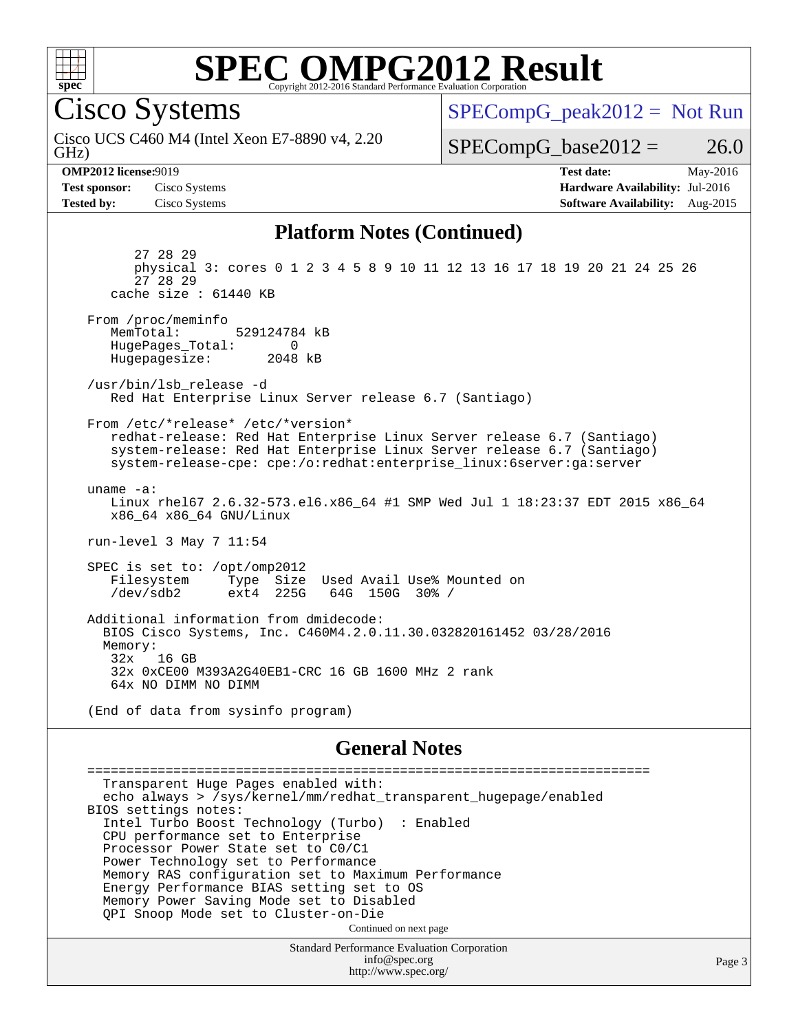

Cisco Systems

GHz) Cisco UCS C460 M4 (Intel Xeon E7-8890 v4, 2.20  $SPECompG_peak2012 = Not Run$  $SPECompG_peak2012 = Not Run$ 

 $SPECompG_base2012 = 26.0$  $SPECompG_base2012 = 26.0$ 

**[Test sponsor:](http://www.spec.org/auto/omp2012/Docs/result-fields.html#Testsponsor)** Cisco Systems **[Hardware Availability:](http://www.spec.org/auto/omp2012/Docs/result-fields.html#HardwareAvailability)** Jul-2016

**[OMP2012 license:](http://www.spec.org/auto/omp2012/Docs/result-fields.html#OMP2012license)**9019 **[Test date:](http://www.spec.org/auto/omp2012/Docs/result-fields.html#Testdate)** May-2016 **[Tested by:](http://www.spec.org/auto/omp2012/Docs/result-fields.html#Testedby)** Cisco Systems **[Software Availability:](http://www.spec.org/auto/omp2012/Docs/result-fields.html#SoftwareAvailability)** Aug-2015

Page 3

#### **[Platform Notes \(Continued\)](http://www.spec.org/auto/omp2012/Docs/result-fields.html#PlatformNotes)**

 27 28 29 physical 3: cores 0 1 2 3 4 5 8 9 10 11 12 13 16 17 18 19 20 21 24 25 26 27 28 29 cache size : 61440 KB From /proc/meminfo MemTotal: 529124784 kB HugePages\_Total: 0<br>Hugepagesize: 2048 kB Hugepagesize: /usr/bin/lsb\_release -d Red Hat Enterprise Linux Server release 6.7 (Santiago) From /etc/\*release\* /etc/\*version\* redhat-release: Red Hat Enterprise Linux Server release 6.7 (Santiago) system-release: Red Hat Enterprise Linux Server release 6.7 (Santiago) system-release-cpe: cpe:/o:redhat:enterprise\_linux:6server:ga:server uname -a: Linux rhel67 2.6.32-573.el6.x86\_64 #1 SMP Wed Jul 1 18:23:37 EDT 2015 x86\_64 x86\_64 x86\_64 GNU/Linux run-level 3 May 7 11:54 SPEC is set to: /opt/omp2012<br>Filesystem Type Size Type Size Used Avail Use% Mounted on /dev/sdb2 ext4 225G 64G 150G 30% / Additional information from dmidecode: BIOS Cisco Systems, Inc. C460M4.2.0.11.30.032820161452 03/28/2016 Memory: 32x 16 GB 32x 0xCE00 M393A2G40EB1-CRC 16 GB 1600 MHz 2 rank 64x NO DIMM NO DIMM

(End of data from sysinfo program)

#### **[General Notes](http://www.spec.org/auto/omp2012/Docs/result-fields.html#GeneralNotes)**

 ======================================================================== Transparent Huge Pages enabled with: echo always > /sys/kernel/mm/redhat\_transparent\_hugepage/enabled BIOS settings notes: Intel Turbo Boost Technology (Turbo) : Enabled CPU performance set to Enterprise Processor Power State set to C0/C1 Power Technology set to Performance Memory RAS configuration set to Maximum Performance Energy Performance BIAS setting set to OS Memory Power Saving Mode set to Disabled QPI Snoop Mode set to Cluster-on-Die Continued on next page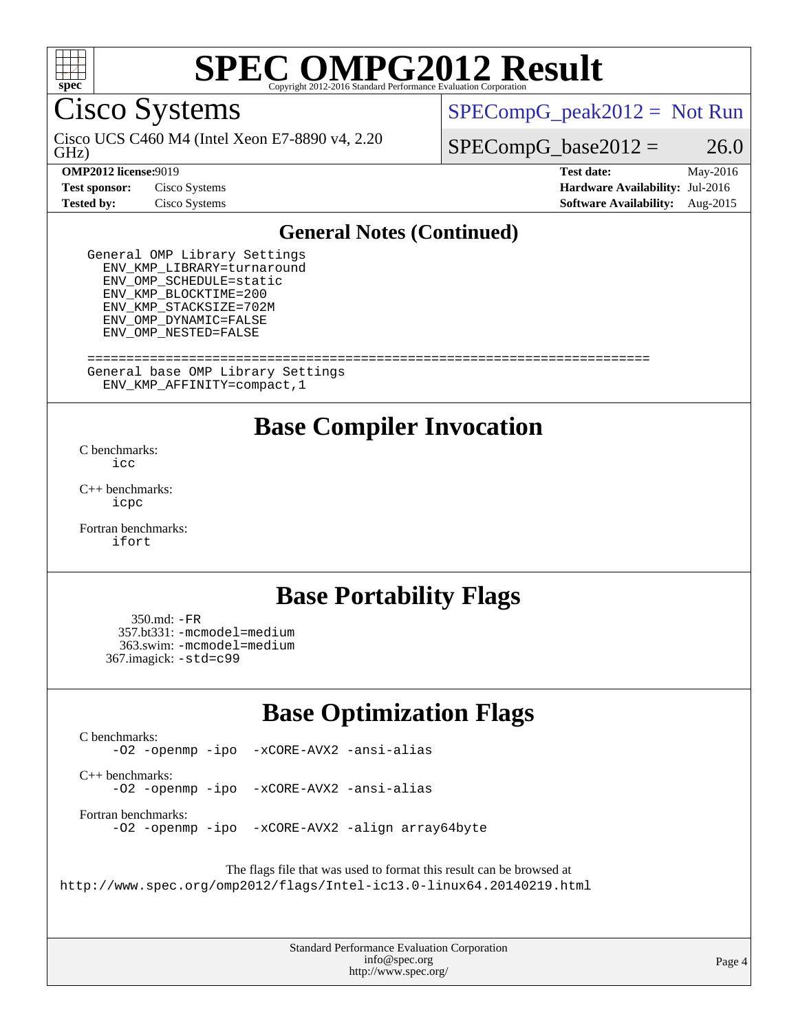

Cisco Systems

GHz) Cisco UCS C460 M4 (Intel Xeon E7-8890 v4, 2.20  $SPECompG_peak2012 = Not Run$  $SPECompG_peak2012 = Not Run$ 

 $SPECompG_base2012 = 26.0$  $SPECompG_base2012 = 26.0$ 

**[Test sponsor:](http://www.spec.org/auto/omp2012/Docs/result-fields.html#Testsponsor)** Cisco Systems **[Hardware Availability:](http://www.spec.org/auto/omp2012/Docs/result-fields.html#HardwareAvailability)** Jul-2016

**[OMP2012 license:](http://www.spec.org/auto/omp2012/Docs/result-fields.html#OMP2012license)**9019 **[Test date:](http://www.spec.org/auto/omp2012/Docs/result-fields.html#Testdate)** May-2016 **[Tested by:](http://www.spec.org/auto/omp2012/Docs/result-fields.html#Testedby)** Cisco Systems **[Software Availability:](http://www.spec.org/auto/omp2012/Docs/result-fields.html#SoftwareAvailability)** Aug-2015

#### **[General Notes \(Continued\)](http://www.spec.org/auto/omp2012/Docs/result-fields.html#GeneralNotes)**

 General OMP Library Settings ENV\_KMP\_LIBRARY=turnaround ENV\_OMP\_SCHEDULE=static ENV\_KMP\_BLOCKTIME=200 ENV\_KMP\_STACKSIZE=702M ENV\_OMP\_DYNAMIC=FALSE ENV\_OMP\_NESTED=FALSE

 ======================================================================== General base OMP Library Settings ENV\_KMP\_AFFINITY=compact,1

### **[Base Compiler Invocation](http://www.spec.org/auto/omp2012/Docs/result-fields.html#BaseCompilerInvocation)**

[C benchmarks](http://www.spec.org/auto/omp2012/Docs/result-fields.html#Cbenchmarks):  $i$ 

[C++ benchmarks:](http://www.spec.org/auto/omp2012/Docs/result-fields.html#CXXbenchmarks) [icpc](http://www.spec.org/omp2012/results/res2016q2/omp2012-20160511-00074.flags.html#user_CXXbase_intel_icpc_2d899f8d163502b12eb4a60069f80c1c)

[Fortran benchmarks](http://www.spec.org/auto/omp2012/Docs/result-fields.html#Fortranbenchmarks): [ifort](http://www.spec.org/omp2012/results/res2016q2/omp2012-20160511-00074.flags.html#user_FCbase_intel_ifort_8a5e5e06b19a251bdeaf8fdab5d62f20)

### **[Base Portability Flags](http://www.spec.org/auto/omp2012/Docs/result-fields.html#BasePortabilityFlags)**

 350.md: [-FR](http://www.spec.org/omp2012/results/res2016q2/omp2012-20160511-00074.flags.html#user_baseFPORTABILITY350_md_f-FR) 357.bt331: [-mcmodel=medium](http://www.spec.org/omp2012/results/res2016q2/omp2012-20160511-00074.flags.html#user_basePORTABILITY357_bt331_f-mcmodel_3a41622424bdd074c4f0f2d2f224c7e5) 363.swim: [-mcmodel=medium](http://www.spec.org/omp2012/results/res2016q2/omp2012-20160511-00074.flags.html#user_basePORTABILITY363_swim_f-mcmodel_3a41622424bdd074c4f0f2d2f224c7e5) 367.imagick: [-std=c99](http://www.spec.org/omp2012/results/res2016q2/omp2012-20160511-00074.flags.html#user_baseCPORTABILITY367_imagick_f-std_2ec6533b6e06f1c4a6c9b78d9e9cde24)

### **[Base Optimization Flags](http://www.spec.org/auto/omp2012/Docs/result-fields.html#BaseOptimizationFlags)**

[C benchmarks](http://www.spec.org/auto/omp2012/Docs/result-fields.html#Cbenchmarks):

[-O2](http://www.spec.org/omp2012/results/res2016q2/omp2012-20160511-00074.flags.html#user_CCbase_f-O2) [-openmp](http://www.spec.org/omp2012/results/res2016q2/omp2012-20160511-00074.flags.html#user_CCbase_f-openmp) [-ipo](http://www.spec.org/omp2012/results/res2016q2/omp2012-20160511-00074.flags.html#user_CCbase_f-ipo_84062ab53814f613187d02344b8f49a7) [-xCORE-AVX2](http://www.spec.org/omp2012/results/res2016q2/omp2012-20160511-00074.flags.html#user_CCbase_f-xCORE-AVX2) [-ansi-alias](http://www.spec.org/omp2012/results/res2016q2/omp2012-20160511-00074.flags.html#user_CCbase_f-ansi-alias)

[C++ benchmarks:](http://www.spec.org/auto/omp2012/Docs/result-fields.html#CXXbenchmarks) [-O2](http://www.spec.org/omp2012/results/res2016q2/omp2012-20160511-00074.flags.html#user_CXXbase_f-O2) [-openmp](http://www.spec.org/omp2012/results/res2016q2/omp2012-20160511-00074.flags.html#user_CXXbase_f-openmp) [-ipo](http://www.spec.org/omp2012/results/res2016q2/omp2012-20160511-00074.flags.html#user_CXXbase_f-ipo_84062ab53814f613187d02344b8f49a7) [-xCORE-AVX2](http://www.spec.org/omp2012/results/res2016q2/omp2012-20160511-00074.flags.html#user_CXXbase_f-xCORE-AVX2) [-ansi-alias](http://www.spec.org/omp2012/results/res2016q2/omp2012-20160511-00074.flags.html#user_CXXbase_f-ansi-alias)

[Fortran benchmarks](http://www.spec.org/auto/omp2012/Docs/result-fields.html#Fortranbenchmarks):

[-O2](http://www.spec.org/omp2012/results/res2016q2/omp2012-20160511-00074.flags.html#user_FCbase_f-O2) [-openmp](http://www.spec.org/omp2012/results/res2016q2/omp2012-20160511-00074.flags.html#user_FCbase_f-openmp) [-ipo](http://www.spec.org/omp2012/results/res2016q2/omp2012-20160511-00074.flags.html#user_FCbase_f-ipo_84062ab53814f613187d02344b8f49a7) [-xCORE-AVX2](http://www.spec.org/omp2012/results/res2016q2/omp2012-20160511-00074.flags.html#user_FCbase_f-xCORE-AVX2) [-align array64byte](http://www.spec.org/omp2012/results/res2016q2/omp2012-20160511-00074.flags.html#user_FCbase_f-align_c9377f996e966d652baaf753401d4725)

The flags file that was used to format this result can be browsed at <http://www.spec.org/omp2012/flags/Intel-ic13.0-linux64.20140219.html>